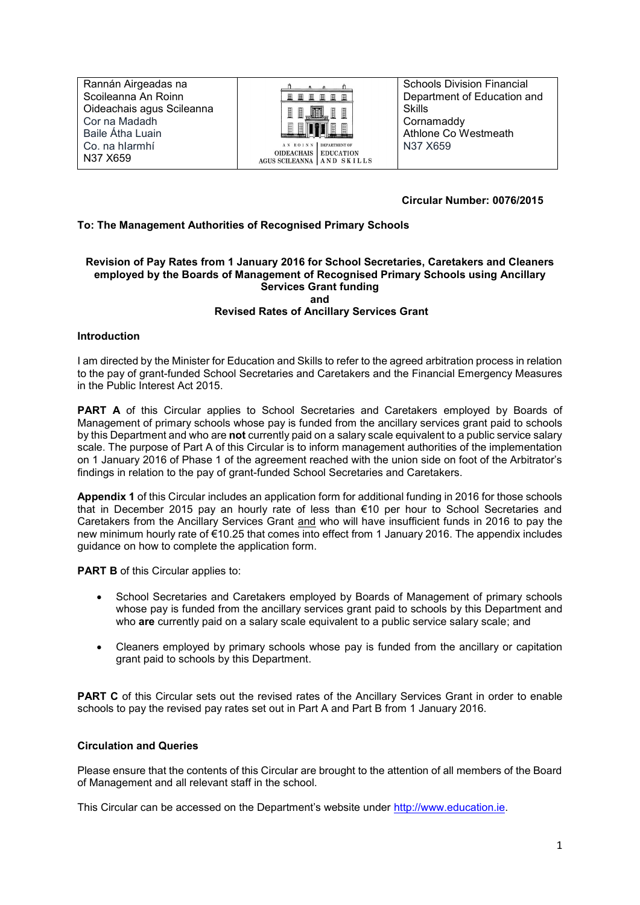Rannán Airgeadas na Scoileanna An Roinn Oideachais agus Scileanna Cor na Madadh Baile Átha Luain Co. na hIarmhí N37 X659



OIDEACHAIS EDUCATION<br>AGUS SCILEANNA AN DSKILLS

Schools Division Financial Department of Education and Skills **Cornamaddy** Athlone Co Westmeath N37 X659

## **Circular Number: 0076/2015**

## **To: The Management Authorities of Recognised Primary Schools**

## **Revision of Pay Rates from 1 January 2016 for School Secretaries, Caretakers and Cleaners employed by the Boards of Management of Recognised Primary Schools using Ancillary Services Grant funding and Revised Rates of Ancillary Services Grant**

## **Introduction**

I am directed by the Minister for Education and Skills to refer to the agreed arbitration process in relation to the pay of grant-funded School Secretaries and Caretakers and the Financial Emergency Measures in the Public Interest Act 2015.

**PART A** of this Circular applies to School Secretaries and Caretakers employed by Boards of Management of primary schools whose pay is funded from the ancillary services grant paid to schools by this Department and who are **not** currently paid on a salary scale equivalent to a public service salary scale. The purpose of Part A of this Circular is to inform management authorities of the implementation on 1 January 2016 of Phase 1 of the agreement reached with the union side on foot of the Arbitrator's findings in relation to the pay of grant-funded School Secretaries and Caretakers.

**Appendix 1** of this Circular includes an application form for additional funding in 2016 for those schools that in December 2015 pay an hourly rate of less than €10 per hour to School Secretaries and Caretakers from the Ancillary Services Grant and who will have insufficient funds in 2016 to pay the new minimum hourly rate of €10.25 that comes into effect from 1 January 2016. The appendix includes guidance on how to complete the application form.

**PART B** of this Circular applies to:

- School Secretaries and Caretakers employed by Boards of Management of primary schools whose pay is funded from the ancillary services grant paid to schools by this Department and who **are** currently paid on a salary scale equivalent to a public service salary scale; and
- Cleaners employed by primary schools whose pay is funded from the ancillary or capitation grant paid to schools by this Department.

**PART C** of this Circular sets out the revised rates of the Ancillary Services Grant in order to enable schools to pay the revised pay rates set out in Part A and Part B from 1 January 2016.

## **Circulation and Queries**

Please ensure that the contents of this Circular are brought to the attention of all members of the Board of Management and all relevant staff in the school.

This Circular can be accessed on the Department's website under [http://www.education.ie.](http://www.education.ie/)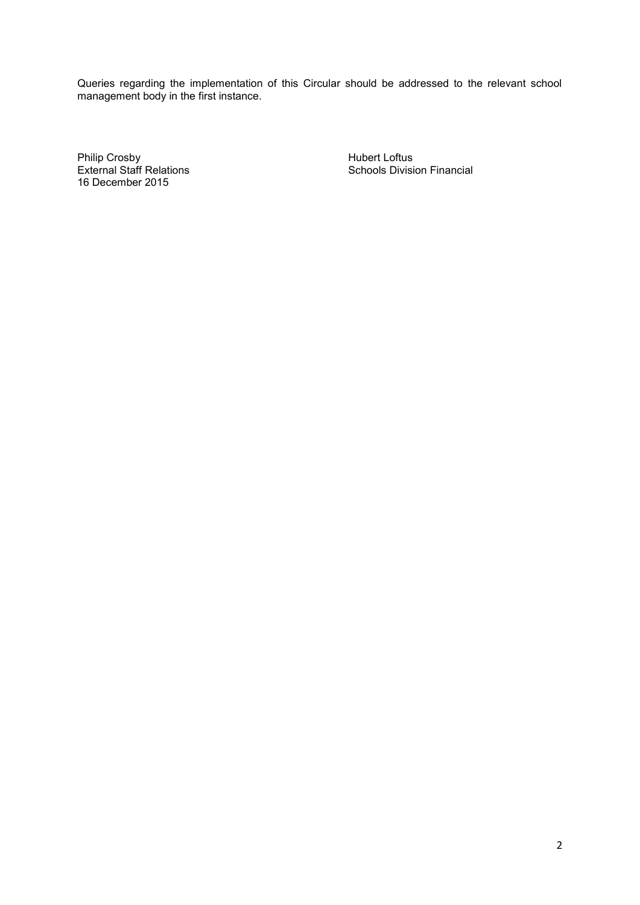Queries regarding the implementation of this Circular should be addressed to the relevant school management body in the first instance.

Philip Crosby<br>
External Staff Relations<br>
External Staff Relations<br>
All Company Schools Divisi 16 December 2015

Schools Division Financial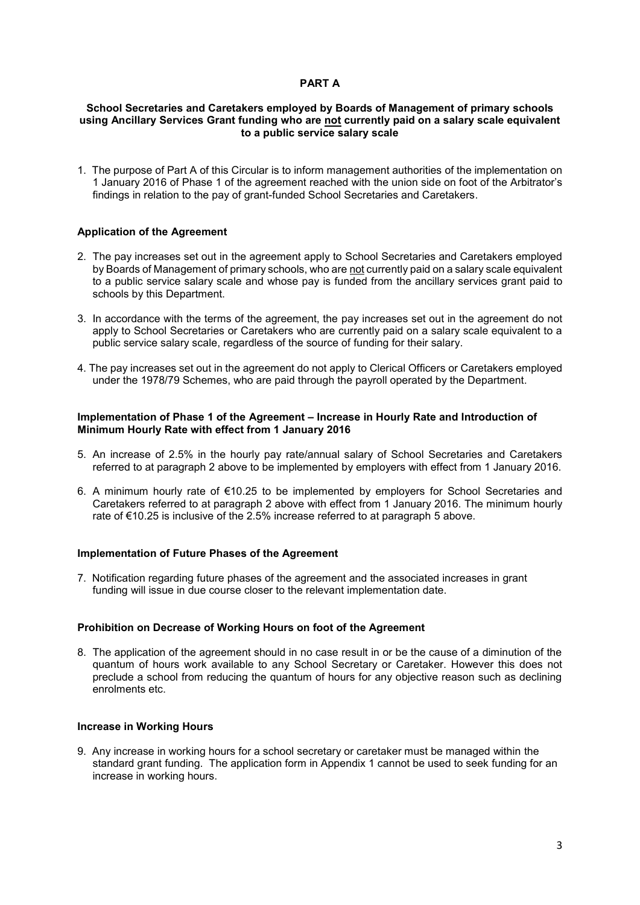## **PART A**

## **School Secretaries and Caretakers employed by Boards of Management of primary schools using Ancillary Services Grant funding who are not currently paid on a salary scale equivalent to a public service salary scale**

1. The purpose of Part A of this Circular is to inform management authorities of the implementation on 1 January 2016 of Phase 1 of the agreement reached with the union side on foot of the Arbitrator's findings in relation to the pay of grant-funded School Secretaries and Caretakers.

## **Application of the Agreement**

- 2. The pay increases set out in the agreement apply to School Secretaries and Caretakers employed by Boards of Management of primary schools, who are not currently paid on a salary scale equivalent to a public service salary scale and whose pay is funded from the ancillary services grant paid to schools by this Department.
- 3. In accordance with the terms of the agreement, the pay increases set out in the agreement do not apply to School Secretaries or Caretakers who are currently paid on a salary scale equivalent to a public service salary scale, regardless of the source of funding for their salary.
- 4. The pay increases set out in the agreement do not apply to Clerical Officers or Caretakers employed under the 1978/79 Schemes, who are paid through the payroll operated by the Department.

## **Implementation of Phase 1 of the Agreement – Increase in Hourly Rate and Introduction of Minimum Hourly Rate with effect from 1 January 2016**

- 5. An increase of 2.5% in the hourly pay rate/annual salary of School Secretaries and Caretakers referred to at paragraph 2 above to be implemented by employers with effect from 1 January 2016.
- 6. A minimum hourly rate of €10.25 to be implemented by employers for School Secretaries and Caretakers referred to at paragraph 2 above with effect from 1 January 2016. The minimum hourly rate of €10.25 is inclusive of the 2.5% increase referred to at paragraph 5 above.

## **Implementation of Future Phases of the Agreement**

7. Notification regarding future phases of the agreement and the associated increases in grant funding will issue in due course closer to the relevant implementation date.

## **Prohibition on Decrease of Working Hours on foot of the Agreement**

8. The application of the agreement should in no case result in or be the cause of a diminution of the quantum of hours work available to any School Secretary or Caretaker. However this does not preclude a school from reducing the quantum of hours for any objective reason such as declining enrolments etc.

## **Increase in Working Hours**

9. Any increase in working hours for a school secretary or caretaker must be managed within the standard grant funding. The application form in Appendix 1 cannot be used to seek funding for an increase in working hours.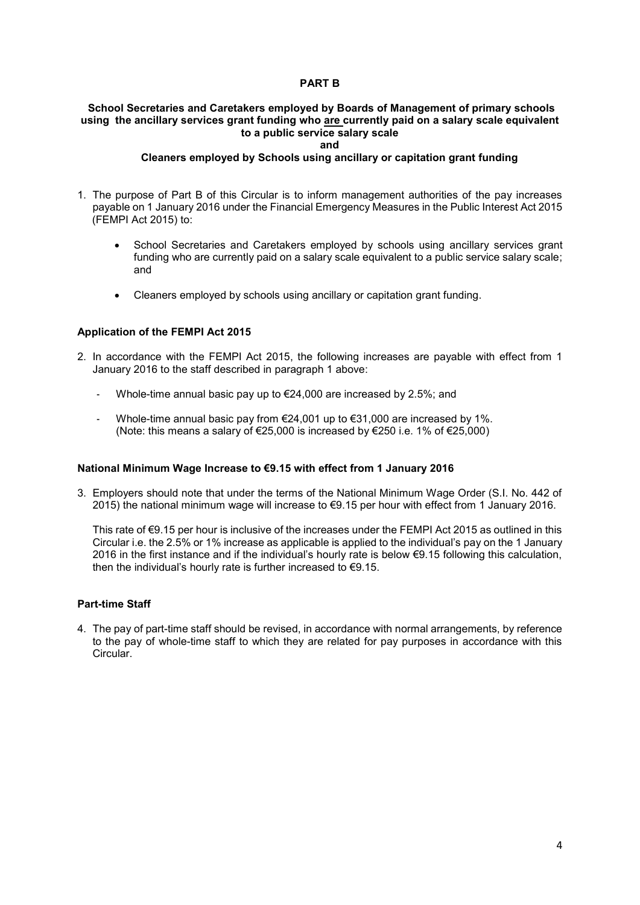## **PART B**

## **School Secretaries and Caretakers employed by Boards of Management of primary schools using the ancillary services grant funding who are currently paid on a salary scale equivalent to a public service salary scale**

#### **and**

## **Cleaners employed by Schools using ancillary or capitation grant funding**

- 1. The purpose of Part B of this Circular is to inform management authorities of the pay increases payable on 1 January 2016 under the Financial Emergency Measures in the Public Interest Act 2015 (FEMPI Act 2015) to:
	- School Secretaries and Caretakers employed by schools using ancillary services grant funding who are currently paid on a salary scale equivalent to a public service salary scale; and
	- Cleaners employed by schools using ancillary or capitation grant funding.

## **Application of the FEMPI Act 2015**

- 2. In accordance with the FEMPI Act 2015, the following increases are payable with effect from 1 January 2016 to the staff described in paragraph 1 above:
	- Whole-time annual basic pay up to  $\epsilon$ 24,000 are increased by 2.5%; and
	- Whole-time annual basic pay from €24,001 up to €31,000 are increased by 1%. (Note: this means a salary of  $\epsilon$ 25,000 is increased by  $\epsilon$ 250 i.e. 1% of  $\epsilon$ 25,000)

## **National Minimum Wage Increase to €9.15 with effect from 1 January 2016**

3. Employers should note that under the terms of the National Minimum Wage Order (S.I. No. 442 of 2015) the national minimum wage will increase to €9.15 per hour with effect from 1 January 2016.

This rate of €9.15 per hour is inclusive of the increases under the FEMPI Act 2015 as outlined in this Circular i.e. the 2.5% or 1% increase as applicable is applied to the individual's pay on the 1 January 2016 in the first instance and if the individual's hourly rate is below €9.15 following this calculation, then the individual's hourly rate is further increased to €9.15.

## **Part-time Staff**

4. The pay of part-time staff should be revised, in accordance with normal arrangements, by reference to the pay of whole-time staff to which they are related for pay purposes in accordance with this Circular.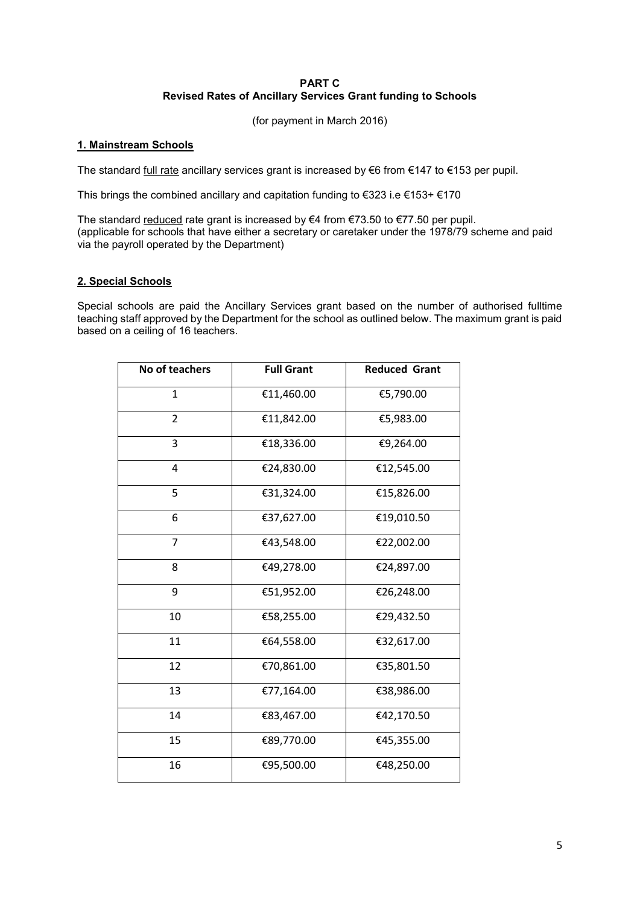## **PART C Revised Rates of Ancillary Services Grant funding to Schools**

(for payment in March 2016)

## **1. Mainstream Schools**

The standard full rate ancillary services grant is increased by €6 from €147 to €153 per pupil.

This brings the combined ancillary and capitation funding to €323 i.e €153+ €170

The standard reduced rate grant is increased by €4 from €73.50 to €77.50 per pupil. (applicable for schools that have either a secretary or caretaker under the 1978/79 scheme and paid via the payroll operated by the Department)

## **2. Special Schools**

Special schools are paid the Ancillary Services grant based on the number of authorised fulltime teaching staff approved by the Department for the school as outlined below. The maximum grant is paid based on a ceiling of 16 teachers.

| No of teachers | <b>Full Grant</b> | <b>Reduced Grant</b> |
|----------------|-------------------|----------------------|
| 1              | €11,460.00        | €5,790.00            |
| 2              | €11,842.00        | €5,983.00            |
| 3              | €18,336.00        | €9,264.00            |
| 4              | €24,830.00        | €12,545.00           |
| 5              | €31,324.00        | €15,826.00           |
| 6              | €37,627.00        | €19,010.50           |
| $\overline{7}$ | €43,548.00        | €22,002.00           |
| 8              | €49,278.00        | €24,897.00           |
| 9              | €51,952.00        | €26,248.00           |
| 10             | €58,255.00        | €29,432.50           |
| 11             | €64,558.00        | €32,617.00           |
| 12             | €70,861.00        | €35,801.50           |
| 13             | €77,164.00        | €38,986.00           |
| 14             | €83,467.00        | €42,170.50           |
| 15             | €89,770.00        | €45,355.00           |
| 16             | €95,500.00        | €48,250.00           |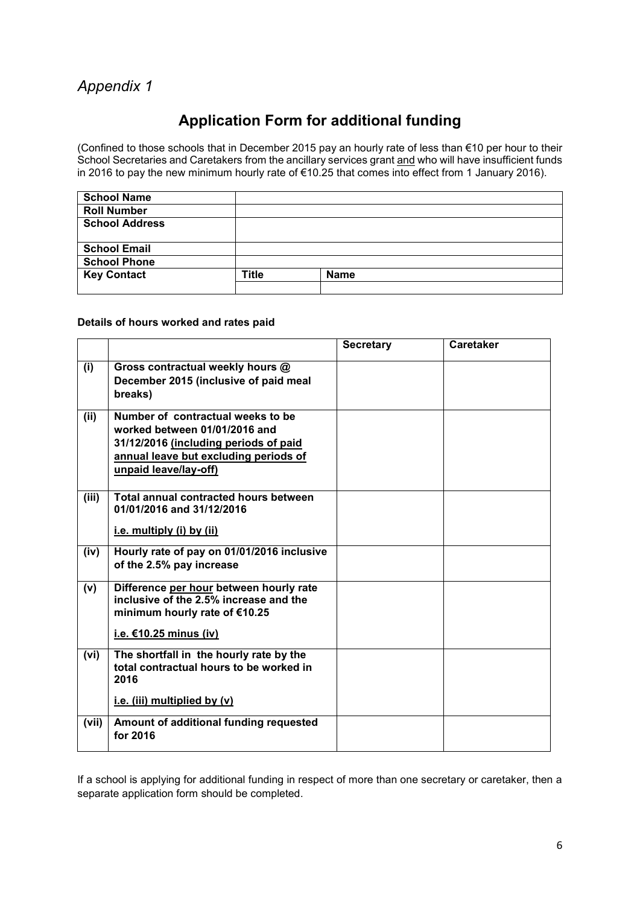# *Appendix 1*

# **Application Form for additional funding**

(Confined to those schools that in December 2015 pay an hourly rate of less than €10 per hour to their School Secretaries and Caretakers from the ancillary services grant and who will have insufficient funds in 2016 to pay the new minimum hourly rate of €10.25 that comes into effect from 1 January 2016).

| <b>School Name</b>    |              |             |
|-----------------------|--------------|-------------|
| <b>Roll Number</b>    |              |             |
| <b>School Address</b> |              |             |
|                       |              |             |
| <b>School Email</b>   |              |             |
| <b>School Phone</b>   |              |             |
| <b>Key Contact</b>    | <b>Title</b> | <b>Name</b> |
|                       |              |             |

## **Details of hours worked and rates paid**

|       |                                                                                                                                                                               | <b>Secretary</b> | <b>Caretaker</b> |
|-------|-------------------------------------------------------------------------------------------------------------------------------------------------------------------------------|------------------|------------------|
| (i)   | Gross contractual weekly hours @<br>December 2015 (inclusive of paid meal<br>breaks)                                                                                          |                  |                  |
| (ii)  | Number of contractual weeks to be<br>worked between 01/01/2016 and<br>31/12/2016 (including periods of paid<br>annual leave but excluding periods of<br>unpaid leave/lay-off) |                  |                  |
| (iii) | Total annual contracted hours between<br>01/01/2016 and 31/12/2016<br>i.e. multiply (i) by (ii)                                                                               |                  |                  |
| (iv)  | Hourly rate of pay on 01/01/2016 inclusive<br>of the 2.5% pay increase                                                                                                        |                  |                  |
| (v)   | Difference per hour between hourly rate<br>inclusive of the 2.5% increase and the<br>minimum hourly rate of €10.25<br>i.e. $€10.25$ minus (iv)                                |                  |                  |
| (vi)  | The shortfall in the hourly rate by the<br>total contractual hours to be worked in<br>2016<br>i.e. (iii) multiplied by $(v)$                                                  |                  |                  |
| (vii) | Amount of additional funding requested<br>for 2016                                                                                                                            |                  |                  |

If a school is applying for additional funding in respect of more than one secretary or caretaker, then a separate application form should be completed.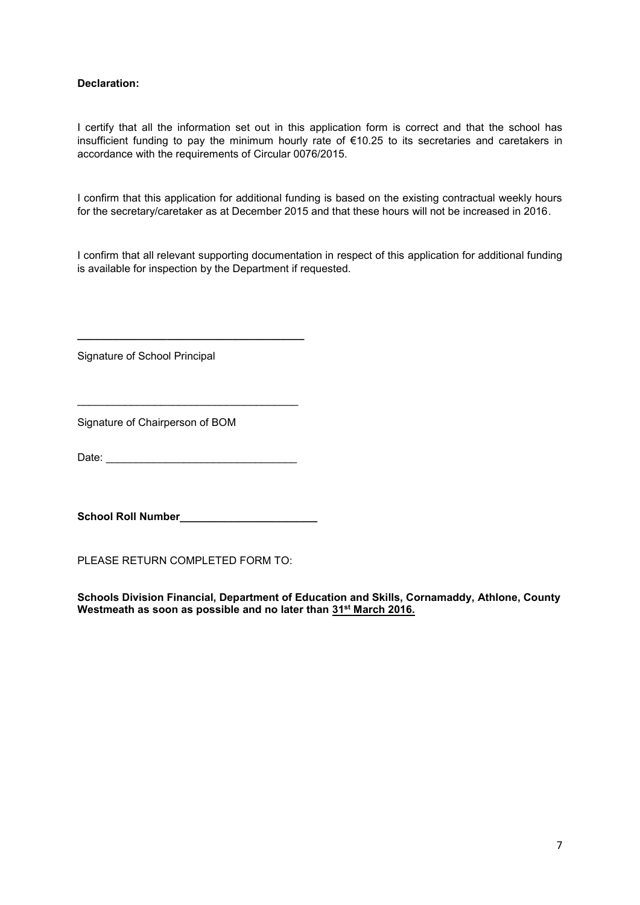## **Declaration:**

I certify that all the information set out in this application form is correct and that the school has insufficient funding to pay the minimum hourly rate of €10.25 to its secretaries and caretakers in accordance with the requirements of Circular 0076/2015.

I confirm that this application for additional funding is based on the existing contractual weekly hours for the secretary/caretaker as at December 2015 and that these hours will not be increased in 2016.

I confirm that all relevant supporting documentation in respect of this application for additional funding is available for inspection by the Department if requested.

Signature of School Principal

Signature of Chairperson of BOM

Date: \_\_\_\_\_\_\_\_\_\_\_\_\_\_\_\_\_\_\_\_\_\_\_\_\_\_\_\_\_\_\_\_

\_\_\_\_\_\_\_\_\_\_\_\_\_\_\_\_\_\_\_\_\_\_\_\_\_\_\_\_\_\_\_\_\_\_\_\_\_

**\_\_\_\_\_\_\_\_\_\_\_\_\_\_\_\_\_\_\_\_\_\_\_\_\_\_\_\_\_\_\_\_\_\_\_\_\_\_**

**School Roll Number\_\_\_\_\_\_\_\_\_\_\_\_\_\_\_\_\_\_\_\_\_\_\_**

PLEASE RETURN COMPLETED FORM TO:

**Schools Division Financial, Department of Education and Skills, Cornamaddy, Athlone, County Westmeath as soon as possible and no later than 31st March 2016.**